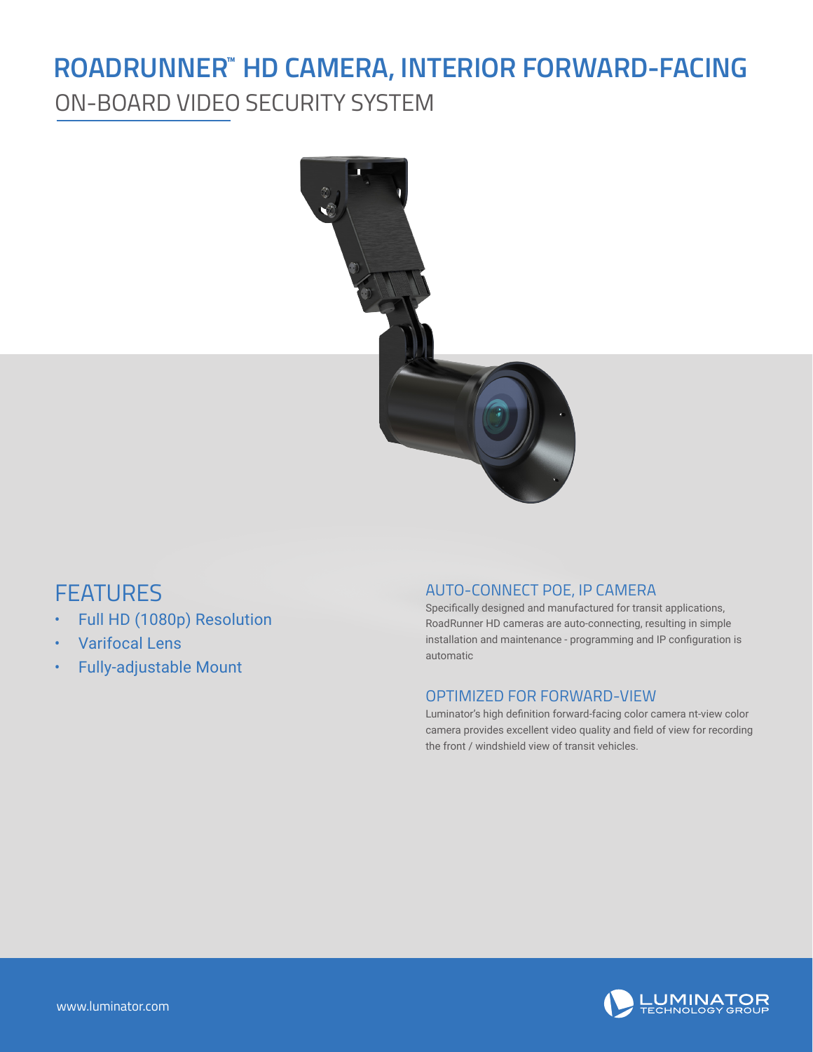## ROADRUNNER" HD CAMERA, INTERIOR FORWARD-FACING

ON-BOARD VIDEO SECURITY SYSTEM



### **FEATURES**

- Full HD (1080p) Resolution
- Varifocal Lens
- Fully-adjustable Mount

#### AUTO-CONNECT POE, IP CAMERA

Specifically designed and manufactured for transit applications, RoadRunner HD cameras are auto-connecting, resulting in simple installation and maintenance - programming and IP configuration is automatic

#### OPTIMIZED FOR FORWARD-VIEW

Luminator's high definition forward-facing color camera nt-view color camera provides excellent video quality and field of view for recording the front / windshield view of transit vehicles.